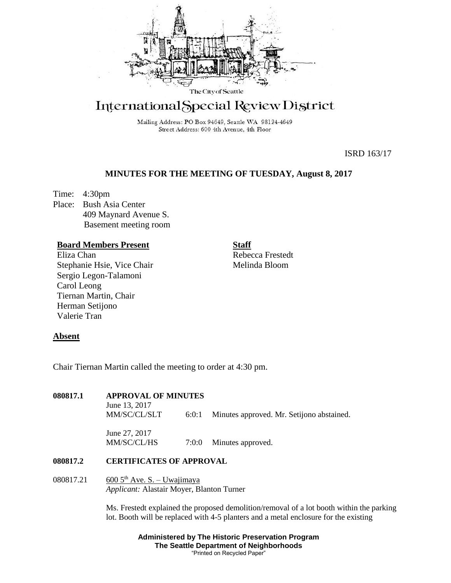

# International Special Review District

Mailing Address: PO Box 94649, Seattle WA 98124-4649 Street Address: 600 4th Avenue, 4th Floor

ISRD 163/17

# **MINUTES FOR THE MEETING OF TUESDAY, August 8, 2017**

Time: 4:30pm Place: Bush Asia Center 409 Maynard Avenue S. Basement meeting room

### **Board Members Present**

Eliza Chan Stephanie Hsie, Vice Chair Sergio Legon-Talamoni Carol Leong Tiernan Martin, Chair Herman Setijono Valerie Tran

**Staff**

Rebecca Frestedt Melinda Bloom

## **Absent**

Chair Tiernan Martin called the meeting to order at 4:30 pm.

#### **080817.1 APPROVAL OF MINUTES**

June 13, 2017 MM/SC/CL/SLT 6:0:1 Minutes approved. Mr. Setijono abstained.

June 27, 2017 MM/SC/CL/HS  $7:0:0$  Minutes approved.

#### **080817.2 CERTIFICATES OF APPROVAL**

080817.21 600  $5^{th}$  Ave. S. – Uwajimaya *Applicant:* Alastair Moyer, Blanton Turner

> Ms. Frestedt explained the proposed demolition/removal of a lot booth within the parking lot. Booth will be replaced with 4-5 planters and a metal enclosure for the existing

> > **Administered by The Historic Preservation Program The Seattle Department of Neighborhoods** "Printed on Recycled Paper"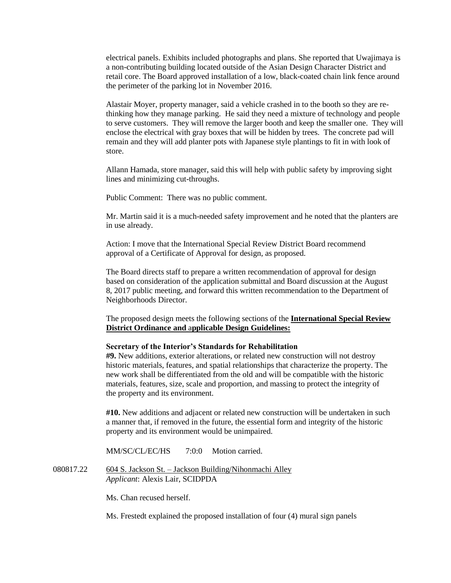electrical panels. Exhibits included photographs and plans. She reported that Uwajimaya is a non-contributing building located outside of the Asian Design Character District and retail core. The Board approved installation of a low, black-coated chain link fence around the perimeter of the parking lot in November 2016.

Alastair Moyer, property manager, said a vehicle crashed in to the booth so they are rethinking how they manage parking. He said they need a mixture of technology and people to serve customers. They will remove the larger booth and keep the smaller one. They will enclose the electrical with gray boxes that will be hidden by trees. The concrete pad will remain and they will add planter pots with Japanese style plantings to fit in with look of store.

Allann Hamada, store manager, said this will help with public safety by improving sight lines and minimizing cut-throughs.

Public Comment: There was no public comment.

Mr. Martin said it is a much-needed safety improvement and he noted that the planters are in use already.

Action: I move that the International Special Review District Board recommend approval of a Certificate of Approval for design, as proposed.

The Board directs staff to prepare a written recommendation of approval for design based on consideration of the application submittal and Board discussion at the August 8, 2017 public meeting, and forward this written recommendation to the Department of Neighborhoods Director.

The proposed design meets the following sections of the **International Special Review District Ordinance and** a**pplicable Design Guidelines:**

#### **Secretary of the Interior's Standards for Rehabilitation**

**#9.** New additions, exterior alterations, or related new construction will not destroy historic materials, features, and spatial relationships that characterize the property. The new work shall be differentiated from the old and will be compatible with the historic materials, features, size, scale and proportion, and massing to protect the integrity of the property and its environment.

**#10.** New additions and adjacent or related new construction will be undertaken in such a manner that, if removed in the future, the essential form and integrity of the historic property and its environment would be unimpaired.

MM/SC/CL/EC/HS 7:0:0 Motion carried.

080817.22 604 S. Jackson St. – Jackson Building/Nihonmachi Alley *Applicant*: Alexis Lair, SCIDPDA

Ms. Chan recused herself.

Ms. Frestedt explained the proposed installation of four (4) mural sign panels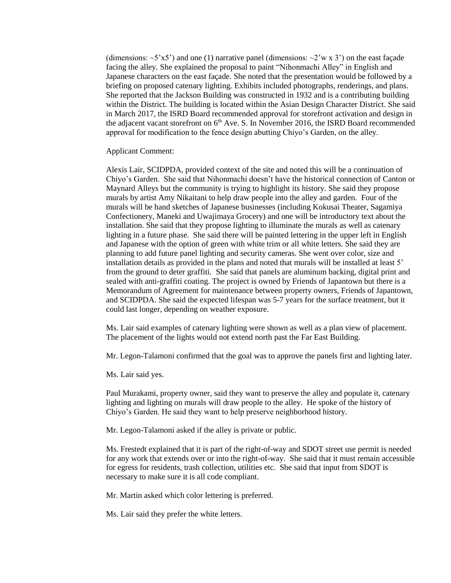(dimensions:  $\sim$ 5'x5') and one (1) narrative panel (dimensions:  $\sim$ 2'w x 3') on the east facade facing the alley. She explained the proposal to paint "Nihonmachi Alley" in English and Japanese characters on the east façade. She noted that the presentation would be followed by a briefing on proposed catenary lighting. Exhibits included photographs, renderings, and plans. She reported that the Jackson Building was constructed in 1932 and is a contributing building within the District. The building is located within the Asian Design Character District. She said in March 2017, the ISRD Board recommended approval for storefront activation and design in the adjacent vacant storefront on 6<sup>th</sup> Ave. S. In November 2016, the ISRD Board recommended approval for modification to the fence design abutting Chiyo's Garden, on the alley.

Applicant Comment:

Alexis Lair, SCIDPDA, provided context of the site and noted this will be a continuation of Chiyo's Garden. She said that Nihonmachi doesn't have the historical connection of Canton or Maynard Alleys but the community is trying to highlight its history. She said they propose murals by artist Amy Nikaitani to help draw people into the alley and garden. Four of the murals will be hand sketches of Japanese businesses (including Kokusai Theater, Sagamiya Confectionery, Maneki and Uwajimaya Grocery) and one will be introductory text about the installation. She said that they propose lighting to illuminate the murals as well as catenary lighting in a future phase. She said there will be painted lettering in the upper left in English and Japanese with the option of green with white trim or all white letters. She said they are planning to add future panel lighting and security cameras. She went over color, size and installation details as provided in the plans and noted that murals will be installed at least 5' from the ground to deter graffiti. She said that panels are aluminum backing, digital print and sealed with anti-graffiti coating. The project is owned by Friends of Japantown but there is a Memorandum of Agreement for maintenance between property owners, Friends of Japantown, and SCIDPDA. She said the expected lifespan was 5-7 years for the surface treatment, but it could last longer, depending on weather exposure.

Ms. Lair said examples of catenary lighting were shown as well as a plan view of placement. The placement of the lights would not extend north past the Far East Building.

Mr. Legon-Talamoni confirmed that the goal was to approve the panels first and lighting later.

Ms. Lair said yes.

Paul Murakami, property owner, said they want to preserve the alley and populate it, catenary lighting and lighting on murals will draw people to the alley. He spoke of the history of Chiyo's Garden. He said they want to help preserve neighborhood history.

Mr. Legon-Talamoni asked if the alley is private or public.

Ms. Frestedt explained that it is part of the right-of-way and SDOT street use permit is needed for any work that extends over or into the right-of-way. She said that it must remain accessible for egress for residents, trash collection, utilities etc. She said that input from SDOT is necessary to make sure it is all code compliant.

Mr. Martin asked which color lettering is preferred.

Ms. Lair said they prefer the white letters.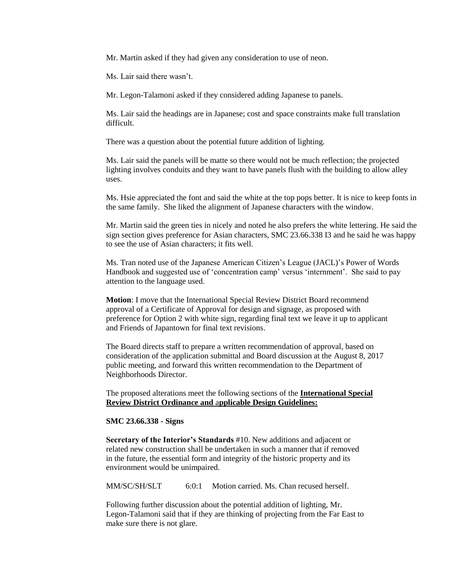Mr. Martin asked if they had given any consideration to use of neon.

Ms. Lair said there wasn't.

Mr. Legon-Talamoni asked if they considered adding Japanese to panels.

Ms. Lair said the headings are in Japanese; cost and space constraints make full translation difficult.

There was a question about the potential future addition of lighting.

Ms. Lair said the panels will be matte so there would not be much reflection; the projected lighting involves conduits and they want to have panels flush with the building to allow alley uses.

Ms. Hsie appreciated the font and said the white at the top pops better. It is nice to keep fonts in the same family. She liked the alignment of Japanese characters with the window.

Mr. Martin said the green ties in nicely and noted he also prefers the white lettering. He said the sign section gives preference for Asian characters, SMC 23.66.338 I3 and he said he was happy to see the use of Asian characters; it fits well.

Ms. Tran noted use of the Japanese American Citizen's League (JACL)'s Power of Words Handbook and suggested use of 'concentration camp' versus 'internment'. She said to pay attention to the language used.

**Motion**: I move that the International Special Review District Board recommend approval of a Certificate of Approval for design and signage, as proposed with preference for Option 2 with white sign, regarding final text we leave it up to applicant and Friends of Japantown for final text revisions.

The Board directs staff to prepare a written recommendation of approval, based on consideration of the application submittal and Board discussion at the August 8, 2017 public meeting, and forward this written recommendation to the Department of Neighborhoods Director.

The proposed alterations meet the following sections of the **International Special Review District Ordinance and** a**pplicable Design Guidelines:**

#### **SMC 23.66.338 - Signs**

**Secretary of the Interior's Standards** #10. New additions and adjacent or related new construction shall be undertaken in such a manner that if removed in the future, the essential form and integrity of the historic property and its environment would be unimpaired.

MM/SC/SH/SLT 6:0:1 Motion carried. Ms. Chan recused herself.

Following further discussion about the potential addition of lighting, Mr. Legon-Talamoni said that if they are thinking of projecting from the Far East to make sure there is not glare.